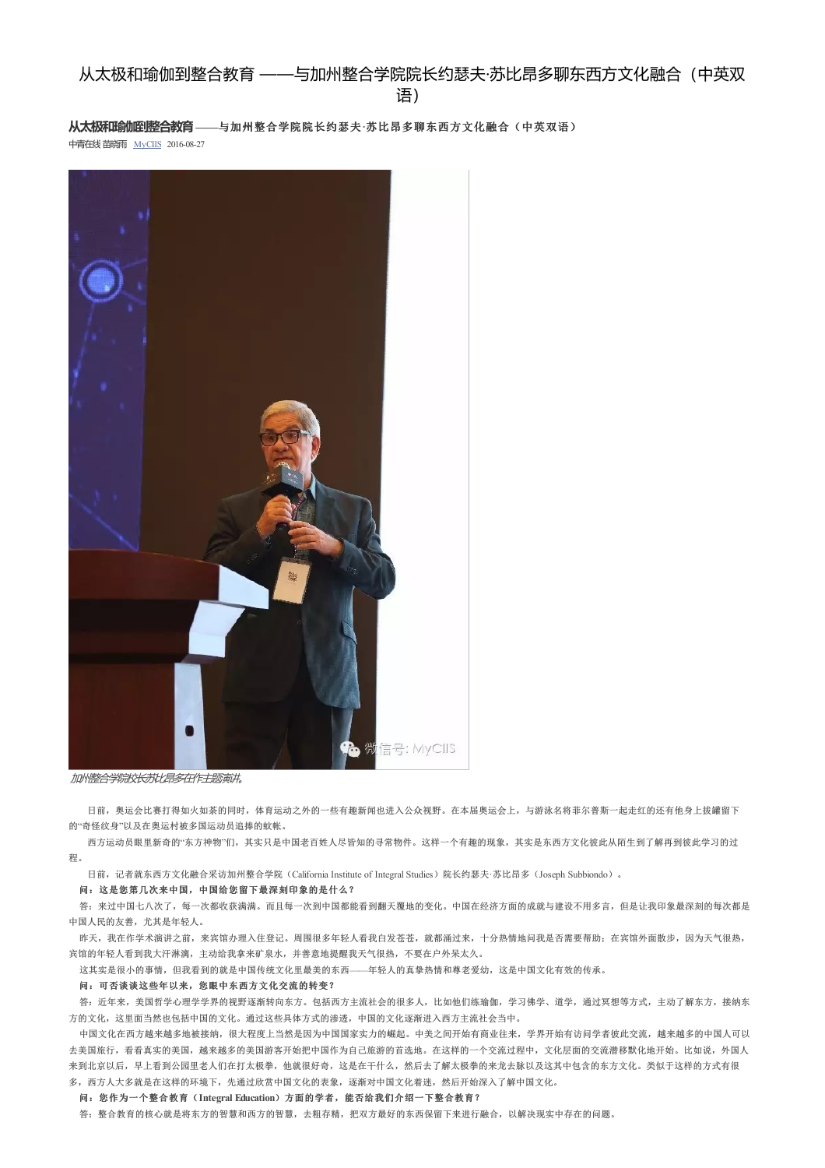**从太极和瑜伽到整合教育——**与加州整合学院院长约瑟夫**·**苏比昂多聊东西方文化融合(中英双语)

中青在线苗晓雨 MyCIIS 2016-08-27



加州整合学院校长苏比昂多在作主题演讲。

日前,奥运会比赛打得如火如荼的同时,体育运动之外的一些有趣新闻也进入公众视野。在本届奥运会上,与游泳名将菲尔普斯一起走红的还有他身上拔罐留下 的"奇怪纹身"以及在奥运村被多国运动员追捧的蚊帐。

西方运动员眼里新奇的"东方神物"们,其实只是中国老百姓人尽皆知的寻常物件。这样一个有趣的现象,其实是东西方文化彼此从陌生到了解再到彼此学习的过 程。

日前,记者就东西方文化融合采访加州整合学院(California Institute of Integral Studies)院长约瑟夫·苏比昂多(Joseph Subbiondo)。

### 问:这是您第几次来中国,中国给您留下最深刻印象的是什么?

答: 来过中国七八次了,每一次都收获满满。而且每一次到中国都能看到翻天覆地的变化。中国在经济方面的成就与建设不用多言,但是让我印象最深刻的每次都是 中国人民的友善,尤其是年轻人。

昨天,我在作学术演讲之前,来宾馆办理入住登记。周围很多年轻人看我白发苍苍,就都涌过来,十分热情地问我是否需要帮助;在宾馆外面散步,因为天气很热, 宾馆的年轻人看到我大汗淋漓,主动给我拿来矿泉水,并善意地提醒我天气很热,不要在户外呆太久。

这其实是很小的事情,但我看到的就是中国传统文化里最美的东西——年轻人的真挚热情和尊老爱幼,这是中国文化有效的传承。

#### 问:可否谈谈这些年以来,您眼中东西方文化交流的转变?

答:近年来,美国哲学心理学学界的视野逐渐转向东方。包括西方主流社会的很多人,比如他们练瑜伽,学习佛学、道学,通过冥想等方式,主动了解东方,接纳东 方的文化,这里面当然也包括中国的文化。通过这些具体方式的渗透,中国的文化逐渐进入西方主流社会当中。

中国文化在西方越来越多地被接纳,很大程度上当然是因为中国国家实力的崛起。中美之间开始有商业往来,学界开始有访问学者彼此交流,越来越多的中国人可以 去美国旅行,看看真实的美国,越来越多的美国游客开始把中国作为自己旅游的首选地。在这样的一个交流过程中,文化层面的交流潜移默化地开始。比如说,外国人 来到北京以后,早上看到公园里老人们在打太极拳,他就很好奇,这是在干什么,然后去了解太极拳的来龙去脉以及这其中包含的东方文化。类似于这样的方式有很 多, 西方人大多就是在这样的环境下,先通过欣赏中国文化的表象, 逐渐对中国文化着迷,然后开始深入了解中国文化。

#### 问:您作为一个整合教育(**Integral Education**)方面的学者,能否给我们介绍一下整合教育?

答: 整合教育的核心就是将东方的智慧和西方的智慧,去粗存精,把双方最好的东西保留下来进行融合,以解决现实中存在的问题。